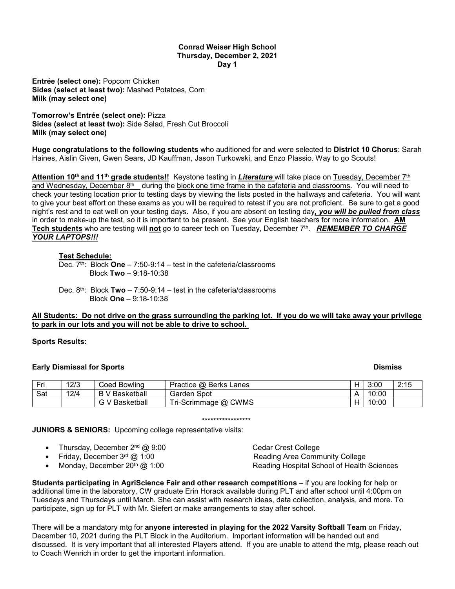# **Conrad Weiser High School Thursday, December 2, 2021 Day 1**

**Entrée (select one):** Popcorn Chicken **Sides (select at least two):** Mashed Potatoes, Corn **Milk (may select one)**

**Tomorrow's Entrée (select one):** Pizza **Sides (select at least two):** Side Salad, Fresh Cut Broccoli **Milk (may select one)**

**Huge congratulations to the following students** who auditioned for and were selected to **District 10 Chorus**: Sarah Haines, Aislin Given, Gwen Sears, JD Kauffman, Jason Turkowski, and Enzo Plassio. Way to go Scouts!

**Attention 10th and 11th grade students!!** Keystone testing in *Literature* will take place on Tuesday, December 7th and Wednesday, December 8<sup>th</sup> during the block one time frame in the cafeteria and classrooms. You will need to check your testing location prior to testing days by viewing the lists posted in the hallways and cafeteria. You will want to give your best effort on these exams as you will be required to retest if you are not proficient. Be sure to get a good night's rest and to eat well on your testing days. Also, if you are absent on testing day*, you will be pulled from class*  in order to make-up the test, so it is important to be present. See your English teachers for more information. **AM Tech students** who are testing will **not** go to career tech on Tuesday, December 7th. *REMEMBER TO CHARGE YOUR LAPTOPS!!!*

# **Test Schedule:**

Dec. 7<sup>th</sup>: Block **One** – 7:50-9:14 – test in the cafeteria/classrooms Block **Two** – 9:18-10:38

Dec. 8th: Block **Two** – 7:50-9:14 – test in the cafeteria/classrooms Block **One** – 9:18-10:38

# **All Students: Do not drive on the grass surrounding the parking lot. If you do we will take away your privilege to park in our lots and you will not be able to drive to school.**

## **Sports Results:**

# **Early Dismissal for Sports Contract Contract Contract Contract Contract Contract Contract Contract Contract Contract Contract Contract Contract Contract Contract Contract Contract Contract Contract Contract Contract Contr**

| . Eri | 12/3 | Coed Bowling     | Practice @ Berks Lanes | 3:00  | 0.4E<br>10<br><u>.</u> |
|-------|------|------------------|------------------------|-------|------------------------|
| Sat   | 12/4 | ' Basketball     | Spot<br>Garden         | 10:00 |                        |
|       |      | Basketball<br>Lэ | Tri-Scrimmage @ CWMS   | 10:00 |                        |

### \*\*\*\*\*\*\*\*\*\*\*\*\*\*\*\*\*

**JUNIORS & SENIORS:** Upcoming college representative visits:

|  |  | Thursday, December 2 <sup>nd</sup> @ 9:00 |  |  |  |
|--|--|-------------------------------------------|--|--|--|
|--|--|-------------------------------------------|--|--|--|

- 
- 

**Cedar Crest College** • Friday, December  $3^{rd}$   $@$  1:00  $@$  Reading Area Community College • Monday, December 20th @ 1:00 Reading Hospital School of Health Sciences

**Students participating in AgriScience Fair and other research competitions** – if you are looking for help or additional time in the laboratory, CW graduate Erin Horack available during PLT and after school until 4:00pm on Tuesdays and Thursdays until March. She can assist with research ideas, data collection, analysis, and more. To participate, sign up for PLT with Mr. Siefert or make arrangements to stay after school.

There will be a mandatory mtg for **anyone interested in playing for the 2022 Varsity Softball Team** on Friday, December 10, 2021 during the PLT Block in the Auditorium. Important information will be handed out and discussed. It is very important that all interested Players attend. If you are unable to attend the mtg, please reach out to Coach Wenrich in order to get the important information.